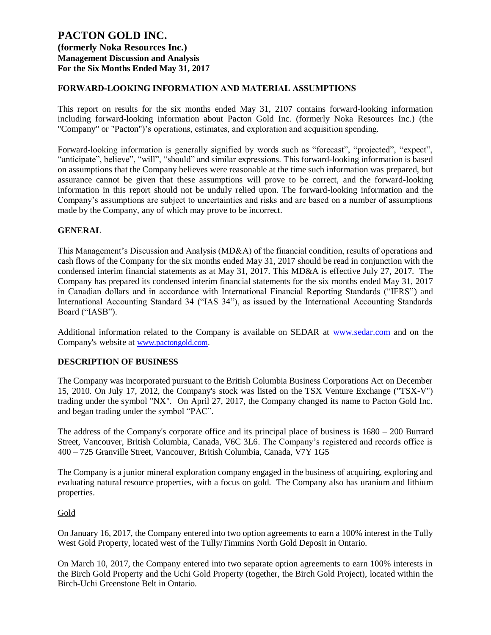### **FORWARD-LOOKING INFORMATION AND MATERIAL ASSUMPTIONS**

This report on results for the six months ended May 31, 2107 contains forward-looking information including forward-looking information about Pacton Gold Inc. (formerly Noka Resources Inc.) (the "Company" or "Pacton")'s operations, estimates, and exploration and acquisition spending.

Forward-looking information is generally signified by words such as "forecast", "projected", "expect", "anticipate", believe", "will", "should" and similar expressions. This forward-looking information is based on assumptions that the Company believes were reasonable at the time such information was prepared, but assurance cannot be given that these assumptions will prove to be correct, and the forward-looking information in this report should not be unduly relied upon. The forward-looking information and the Company's assumptions are subject to uncertainties and risks and are based on a number of assumptions made by the Company, any of which may prove to be incorrect.

## **GENERAL**

This Management's Discussion and Analysis (MD&A) of the financial condition, results of operations and cash flows of the Company for the six months ended May 31, 2017 should be read in conjunction with the condensed interim financial statements as at May 31, 2017. This MD&A is effective July 27, 2017. The Company has prepared its condensed interim financial statements for the six months ended May 31, 2017 in Canadian dollars and in accordance with International Financial Reporting Standards ("IFRS") and International Accounting Standard 34 ("IAS 34"), as issued by the International Accounting Standards Board ("IASB").

Additional information related to the Company is available on SEDAR at [www.sedar.com](http://www.sedar.com/) and on the Company's website at [www.pactongold.com.](http://www.pactongold.com/)

#### **DESCRIPTION OF BUSINESS**

The Company was incorporated pursuant to the British Columbia Business Corporations Act on December 15, 2010. On July 17, 2012, the Company's stock was listed on the TSX Venture Exchange ("TSX-V") trading under the symbol "NX". On April 27, 2017, the Company changed its name to Pacton Gold Inc. and began trading under the symbol "PAC".

The address of the Company's corporate office and its principal place of business is 1680 – 200 Burrard Street, Vancouver, British Columbia, Canada, V6C 3L6. The Company's registered and records office is 400 – 725 Granville Street, Vancouver, British Columbia, Canada, V7Y 1G5

The Company is a junior mineral exploration company engaged in the business of acquiring, exploring and evaluating natural resource properties, with a focus on gold. The Company also has uranium and lithium properties.

#### Gold

On January 16, 2017, the Company entered into two option agreements to earn a 100% interest in the Tully West Gold Property, located west of the Tully/Timmins North Gold Deposit in Ontario.

On March 10, 2017, the Company entered into two separate option agreements to earn 100% interests in the Birch Gold Property and the Uchi Gold Property (together, the Birch Gold Project), located within the Birch-Uchi Greenstone Belt in Ontario.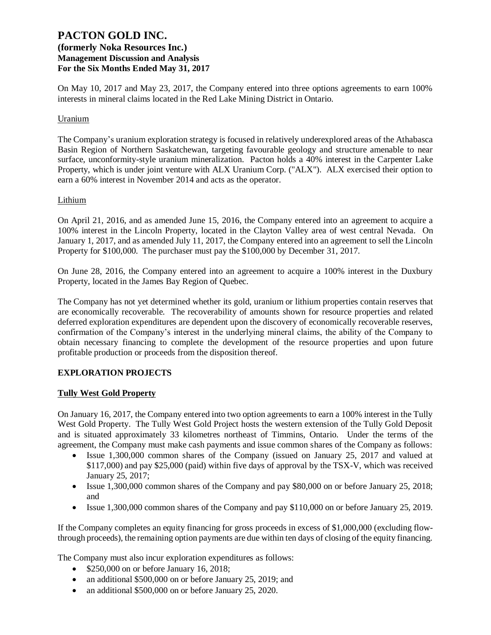On May 10, 2017 and May 23, 2017, the Company entered into three options agreements to earn 100% interests in mineral claims located in the Red Lake Mining District in Ontario.

### **Uranium**

The Company's uranium exploration strategy is focused in relatively underexplored areas of the Athabasca Basin Region of Northern Saskatchewan, targeting favourable geology and structure amenable to near surface, unconformity-style uranium mineralization. Pacton holds a 40% interest in the Carpenter Lake Property, which is under joint venture with ALX Uranium Corp. ("ALX"). ALX exercised their option to earn a 60% interest in November 2014 and acts as the operator.

### Lithium

On April 21, 2016, and as amended June 15, 2016, the Company entered into an agreement to acquire a 100% interest in the Lincoln Property, located in the Clayton Valley area of west central Nevada. On January 1, 2017, and as amended July 11, 2017, the Company entered into an agreement to sell the Lincoln Property for \$100,000. The purchaser must pay the \$100,000 by December 31, 2017.

On June 28, 2016, the Company entered into an agreement to acquire a 100% interest in the Duxbury Property, located in the James Bay Region of Quebec.

The Company has not yet determined whether its gold, uranium or lithium properties contain reserves that are economically recoverable. The recoverability of amounts shown for resource properties and related deferred exploration expenditures are dependent upon the discovery of economically recoverable reserves, confirmation of the Company's interest in the underlying mineral claims, the ability of the Company to obtain necessary financing to complete the development of the resource properties and upon future profitable production or proceeds from the disposition thereof.

## **EXPLORATION PROJECTS**

## **Tully West Gold Property**

On January 16, 2017, the Company entered into two option agreements to earn a 100% interest in the Tully West Gold Property. The Tully West Gold Project hosts the western extension of the Tully Gold Deposit and is situated approximately 33 kilometres northeast of Timmins, Ontario. Under the terms of the agreement, the Company must make cash payments and issue common shares of the Company as follows:

- Issue 1,300,000 common shares of the Company (issued on January 25, 2017 and valued at \$117,000) and pay \$25,000 (paid) within five days of approval by the TSX-V, which was received January 25, 2017;
- Issue 1,300,000 common shares of the Company and pay \$80,000 on or before January 25, 2018; and
- Issue 1,300,000 common shares of the Company and pay \$110,000 on or before January 25, 2019.

If the Company completes an equity financing for gross proceeds in excess of \$1,000,000 (excluding flowthrough proceeds), the remaining option payments are due within ten days of closing of the equity financing.

The Company must also incur exploration expenditures as follows:

- \$250,000 on or before January 16, 2018;
- an additional \$500,000 on or before January 25, 2019; and
- an additional \$500,000 on or before January 25, 2020.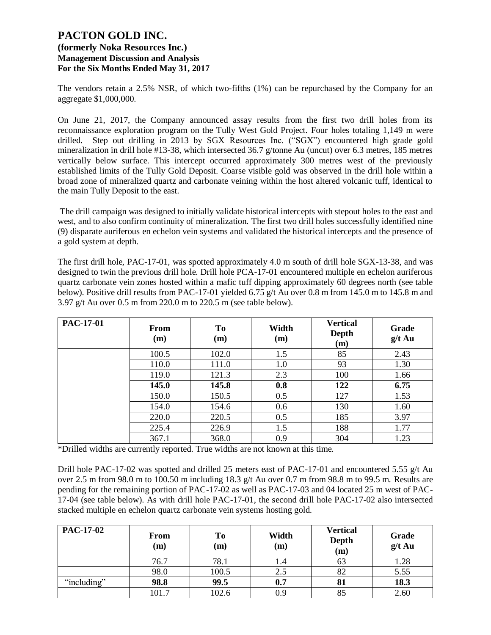The vendors retain a 2.5% NSR, of which two-fifths (1%) can be repurchased by the Company for an aggregate \$1,000,000.

On June 21, 2017, the Company announced assay results from the first two drill holes from its reconnaissance exploration program on the Tully West Gold Project. Four holes totaling 1,149 m were drilled. Step out drilling in 2013 by SGX Resources Inc. ("SGX") encountered high grade gold mineralization in drill hole #13-38, which intersected 36.7 g/tonne Au (uncut) over 6.3 metres, 185 metres vertically below surface. This intercept occurred approximately 300 metres west of the previously established limits of the Tully Gold Deposit. Coarse visible gold was observed in the drill hole within a broad zone of mineralized quartz and carbonate veining within the host altered volcanic tuff, identical to the main Tully Deposit to the east.

The drill campaign was designed to initially validate historical intercepts with stepout holes to the east and west, and to also confirm continuity of mineralization. The first two drill holes successfully identified nine (9) disparate auriferous en echelon vein systems and validated the historical intercepts and the presence of a gold system at depth.

The first drill hole, PAC-17-01, was spotted approximately 4.0 m south of drill hole SGX-13-38, and was designed to twin the previous drill hole. Drill hole PCA-17-01 encountered multiple en echelon auriferous quartz carbonate vein zones hosted within a mafic tuff dipping approximately 60 degrees north (see table below). Positive drill results from PAC-17-01 yielded 6.75 g/t Au over 0.8 m from 145.0 m to 145.8 m and 3.97 g/t Au over 0.5 m from 220.0 m to 220.5 m (see table below).

| <b>PAC-17-01</b> | From<br>(m) | T <sub>0</sub><br>(m) | Width<br>(m) | <b>Vertical</b><br>Depth<br>(m) | Grade<br>$g/t$ Au |
|------------------|-------------|-----------------------|--------------|---------------------------------|-------------------|
|                  | 100.5       | 102.0                 | 1.5          | 85                              | 2.43              |
|                  | 110.0       | 111.0                 | 1.0          | 93                              | 1.30              |
|                  | 119.0       | 121.3                 | 2.3          | 100                             | 1.66              |
|                  | 145.0       | 145.8                 | 0.8          | 122                             | 6.75              |
|                  | 150.0       | 150.5                 | 0.5          | 127                             | 1.53              |
|                  | 154.0       | 154.6                 | 0.6          | 130                             | 1.60              |
|                  | 220.0       | 220.5                 | 0.5          | 185                             | 3.97              |
|                  | 225.4       | 226.9                 | 1.5          | 188                             | 1.77              |
|                  | 367.1       | 368.0                 | 0.9          | 304                             | 1.23              |

\*Drilled widths are currently reported. True widths are not known at this time.

Drill hole PAC-17-02 was spotted and drilled 25 meters east of PAC-17-01 and encountered 5.55 g/t Au over 2.5 m from 98.0 m to 100.50 m including 18.3 g/t Au over 0.7 m from 98.8 m to 99.5 m. Results are pending for the remaining portion of PAC-17-02 as well as PAC-17-03 and 04 located 25 m west of PAC-17-04 (see table below). As with drill hole PAC-17-01, the second drill hole PAC-17-02 also intersected stacked multiple en echelon quartz carbonate vein systems hosting gold.

| <b>PAC-17-02</b> | <b>From</b><br>(m) | To<br>(m) | Width<br>(m) | <b>Vertical</b><br>Depth<br>(m) | Grade<br>$g/t$ Au |
|------------------|--------------------|-----------|--------------|---------------------------------|-------------------|
|                  | 76.7               | 78.1      |              | 63                              | 1.28              |
|                  | 98.0               | 100.5     | 2.5          | 82                              | 5.55              |
| "including"      | 98.8               | 99.5      | 0.7          | 81                              | 18.3              |
|                  | 101.7              | 102.6     | 0.9          | 85                              | 2.60              |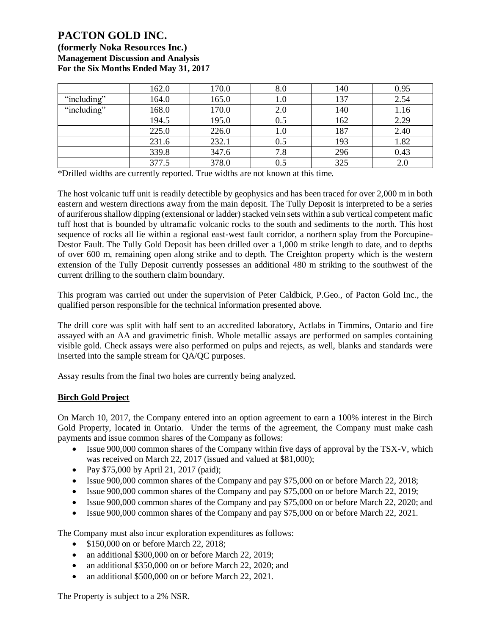**(formerly Noka Resources Inc.) Management Discussion and Analysis For the Six Months Ended May 31, 2017**

|             | 162.0 | 170.0 | 8.0     | 140 | 0.95 |
|-------------|-------|-------|---------|-----|------|
| "including" | 164.0 | 165.0 | 1.0     | 137 | 2.54 |
| "including" | 168.0 | 170.0 | 2.0     | 140 | 1.16 |
|             | 194.5 | 195.0 | 0.5     | 162 | 2.29 |
|             | 225.0 | 226.0 | 1.0     | 187 | 2.40 |
|             | 231.6 | 232.1 | $0.5\,$ | 193 | 1.82 |
|             | 339.8 | 347.6 | 7.8     | 296 | 0.43 |
|             | 377.5 | 378.0 | $0.5\,$ | 325 | 2.0  |

\*Drilled widths are currently reported. True widths are not known at this time.

The host volcanic tuff unit is readily detectible by geophysics and has been traced for over 2,000 m in both eastern and western directions away from the main deposit. The Tully Deposit is interpreted to be a series of auriferous shallow dipping (extensional or ladder) stacked vein sets within a sub vertical competent mafic tuff host that is bounded by ultramafic volcanic rocks to the south and sediments to the north. This host sequence of rocks all lie within a regional east-west fault corridor, a northern splay from the Porcupine-Destor Fault. The Tully Gold Deposit has been drilled over a 1,000 m strike length to date, and to depths of over 600 m, remaining open along strike and to depth. The Creighton property which is the western extension of the Tully Deposit currently possesses an additional 480 m striking to the southwest of the current drilling to the southern claim boundary.

This program was carried out under the supervision of Peter Caldbick, P.Geo., of Pacton Gold Inc., the qualified person responsible for the technical information presented above.

The drill core was split with half sent to an accredited laboratory, Actlabs in Timmins, Ontario and fire assayed with an AA and gravimetric finish. Whole metallic assays are performed on samples containing visible gold. Check assays were also performed on pulps and rejects, as well, blanks and standards were inserted into the sample stream for QA/QC purposes.

Assay results from the final two holes are currently being analyzed.

## **Birch Gold Project**

On March 10, 2017, the Company entered into an option agreement to earn a 100% interest in the Birch Gold Property, located in Ontario. Under the terms of the agreement, the Company must make cash payments and issue common shares of the Company as follows:

- Issue 900,000 common shares of the Company within five days of approval by the TSX-V, which was received on March 22, 2017 (issued and valued at \$81,000);
- Pay \$75,000 by April 21, 2017 (paid);
- Issue 900,000 common shares of the Company and pay \$75,000 on or before March 22, 2018;
- Issue 900,000 common shares of the Company and pay \$75,000 on or before March 22, 2019;
- Issue 900,000 common shares of the Company and pay \$75,000 on or before March 22, 2020; and
- Issue 900,000 common shares of the Company and pay \$75,000 on or before March 22, 2021.

The Company must also incur exploration expenditures as follows:

- \$150,000 on or before March 22, 2018:
- an additional \$300,000 on or before March 22, 2019;
- an additional \$350,000 on or before March 22, 2020; and
- an additional \$500,000 on or before March 22, 2021.

The Property is subject to a 2% NSR.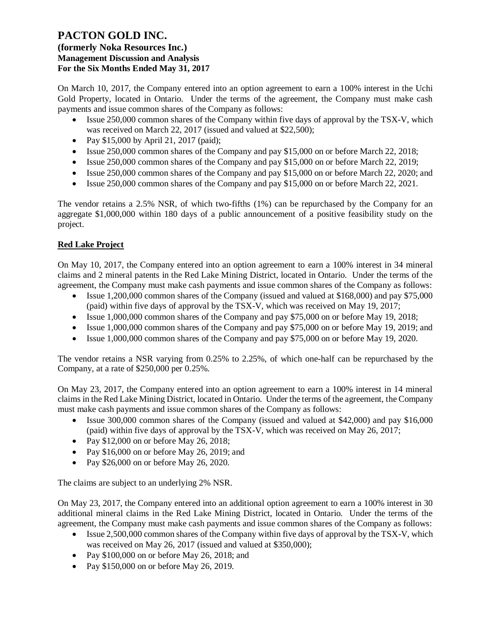On March 10, 2017, the Company entered into an option agreement to earn a 100% interest in the Uchi Gold Property, located in Ontario. Under the terms of the agreement, the Company must make cash payments and issue common shares of the Company as follows:

- Issue 250,000 common shares of the Company within five days of approval by the TSX-V, which was received on March 22, 2017 (issued and valued at \$22,500);
- Pay \$15,000 by April 21, 2017 (paid);
- Issue 250,000 common shares of the Company and pay \$15,000 on or before March 22, 2018;
- Issue 250,000 common shares of the Company and pay \$15,000 on or before March 22, 2019;
- Issue 250,000 common shares of the Company and pay \$15,000 on or before March 22, 2020; and
- Issue 250,000 common shares of the Company and pay \$15,000 on or before March 22, 2021.

The vendor retains a 2.5% NSR, of which two-fifths (1%) can be repurchased by the Company for an aggregate \$1,000,000 within 180 days of a public announcement of a positive feasibility study on the project.

## **Red Lake Project**

On May 10, 2017, the Company entered into an option agreement to earn a 100% interest in 34 mineral claims and 2 mineral patents in the Red Lake Mining District, located in Ontario. Under the terms of the agreement, the Company must make cash payments and issue common shares of the Company as follows:

- Issue 1,200,000 common shares of the Company (issued and valued at \$168,000) and pay \$75,000 (paid) within five days of approval by the TSX-V, which was received on May 19, 2017;
- Issue 1,000,000 common shares of the Company and pay \$75,000 on or before May 19, 2018;
- Issue 1,000,000 common shares of the Company and pay \$75,000 on or before May 19, 2019; and
- Issue 1,000,000 common shares of the Company and pay \$75,000 on or before May 19, 2020.

The vendor retains a NSR varying from 0.25% to 2.25%, of which one-half can be repurchased by the Company, at a rate of \$250,000 per 0.25%.

On May 23, 2017, the Company entered into an option agreement to earn a 100% interest in 14 mineral claims in the Red Lake Mining District, located in Ontario. Under the terms of the agreement, the Company must make cash payments and issue common shares of the Company as follows:

- Issue 300,000 common shares of the Company (issued and valued at \$42,000) and pay \$16,000 (paid) within five days of approval by the TSX-V, which was received on May 26, 2017;
- Pay  $$12,000$  on or before May 26, 2018;
- Pay \$16,000 on or before May 26, 2019; and
- Pay \$26,000 on or before May 26, 2020.

The claims are subject to an underlying 2% NSR.

On May 23, 2017, the Company entered into an additional option agreement to earn a 100% interest in 30 additional mineral claims in the Red Lake Mining District, located in Ontario. Under the terms of the agreement, the Company must make cash payments and issue common shares of the Company as follows:

- Issue 2,500,000 common shares of the Company within five days of approval by the TSX-V, which was received on May 26, 2017 (issued and valued at \$350,000);
- Pay \$100,000 on or before May 26, 2018; and
- Pay \$150,000 on or before May 26, 2019.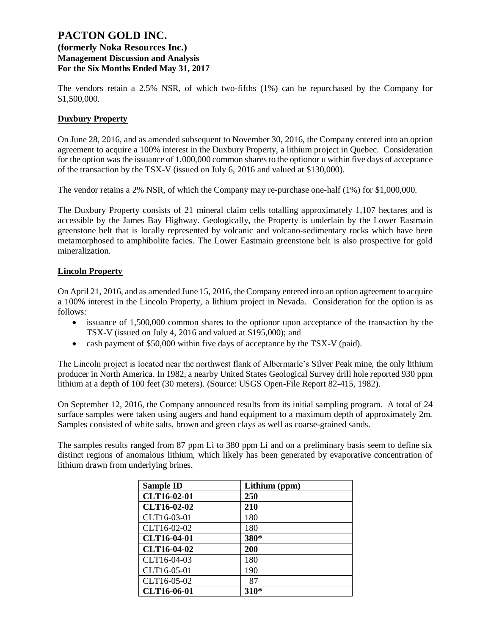## **(formerly Noka Resources Inc.) Management Discussion and Analysis For the Six Months Ended May 31, 2017**

The vendors retain a 2.5% NSR, of which two-fifths (1%) can be repurchased by the Company for \$1,500,000.

### **Duxbury Property**

On June 28, 2016, and as amended subsequent to November 30, 2016, the Company entered into an option agreement to acquire a 100% interest in the Duxbury Property, a lithium project in Quebec. Consideration for the option was the issuance of 1,000,000 common shares to the optionor u within five days of acceptance of the transaction by the TSX-V (issued on July 6, 2016 and valued at \$130,000).

The vendor retains a 2% NSR, of which the Company may re-purchase one-half (1%) for \$1,000,000.

The Duxbury Property consists of 21 mineral claim cells totalling approximately 1,107 hectares and is accessible by the James Bay Highway. Geologically, the Property is underlain by the Lower Eastmain greenstone belt that is locally represented by volcanic and volcano-sedimentary rocks which have been metamorphosed to amphibolite facies. The Lower Eastmain greenstone belt is also prospective for gold mineralization.

### **Lincoln Property**

On April 21, 2016, and as amended June 15, 2016, the Company entered into an option agreement to acquire a 100% interest in the Lincoln Property, a lithium project in Nevada. Consideration for the option is as follows:

- issuance of 1,500,000 common shares to the optionor upon acceptance of the transaction by the TSX-V (issued on July 4, 2016 and valued at \$195,000); and
- cash payment of \$50,000 within five days of acceptance by the TSX-V (paid).

The Lincoln project is located near the northwest flank of Albermarle's Silver Peak mine, the only lithium producer in North America. In 1982, a nearby United States Geological Survey drill hole reported 930 ppm lithium at a depth of 100 feet (30 meters). (Source: USGS Open-File Report 82-415, 1982).

On September 12, 2016, the Company announced results from its initial sampling program. A total of 24 surface samples were taken using augers and hand equipment to a maximum depth of approximately 2m. Samples consisted of white salts, brown and green clays as well as coarse-grained sands.

The samples results ranged from 87 ppm Li to 380 ppm Li and on a preliminary basis seem to define six distinct regions of anomalous lithium, which likely has been generated by evaporative concentration of lithium drawn from underlying brines.

| <b>Sample ID</b>   | Lithium (ppm) |
|--------------------|---------------|
| CLT16-02-01        | 250           |
| <b>CLT16-02-02</b> | 210           |
| CLT16-03-01        | 180           |
| CLT16-02-02        | 180           |
| <b>CLT16-04-01</b> | 380*          |
| <b>CLT16-04-02</b> | 200           |
| CLT16-04-03        | 180           |
| CLT16-05-01        | 190           |
| CLT16-05-02        | 87            |
| CLT16-06-01        | 310*          |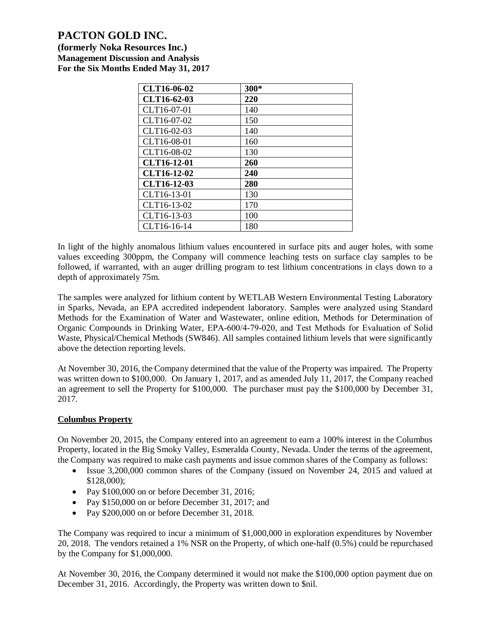**(formerly Noka Resources Inc.) Management Discussion and Analysis For the Six Months Ended May 31, 2017**

| CLT16-06-02 | 300* |
|-------------|------|
| CLT16-62-03 | 220  |
| CLT16-07-01 | 140  |
| CLT16-07-02 | 150  |
| CLT16-02-03 | 140  |
| CLT16-08-01 | 160  |
| CLT16-08-02 | 130  |
| CLT16-12-01 | 260  |
| CLT16-12-02 | 240  |
| CLT16-12-03 | 280  |
| CLT16-13-01 | 130  |
| CLT16-13-02 | 170  |
| CLT16-13-03 | 100  |
| CLT16-16-14 | 180  |

In light of the highly anomalous lithium values encountered in surface pits and auger holes, with some values exceeding 300ppm, the Company will commence leaching tests on surface clay samples to be followed, if warranted, with an auger drilling program to test lithium concentrations in clays down to a depth of approximately 75m.

The samples were analyzed for lithium content by WETLAB Western Environmental Testing Laboratory in Sparks, Nevada, an EPA accredited independent laboratory. Samples were analyzed using Standard Methods for the Examination of Water and Wastewater, online edition, Methods for Determination of Organic Compounds in Drinking Water, EPA‐600/4‐79‐020, and Test Methods for Evaluation of Solid Waste, Physical/Chemical Methods (SW846). All samples contained lithium levels that were significantly above the detection reporting levels.

At November 30, 2016, the Company determined that the value of the Property was impaired. The Property was written down to \$100,000. On January 1, 2017, and as amended July 11, 2017, the Company reached an agreement to sell the Property for \$100,000. The purchaser must pay the \$100,000 by December 31, 2017.

## **Columbus Property**

On November 20, 2015, the Company entered into an agreement to earn a 100% interest in the Columbus Property, located in the Big Smoky Valley, Esmeralda County, Nevada. Under the terms of the agreement, the Company was required to make cash payments and issue common shares of the Company as follows:

- Issue 3,200,000 common shares of the Company (issued on November 24, 2015 and valued at \$128,000);
- Pay \$100,000 on or before December 31, 2016;
- Pay \$150,000 on or before December 31, 2017; and
- Pay \$200,000 on or before December 31, 2018.

The Company was required to incur a minimum of \$1,000,000 in exploration expenditures by November 20, 2018. The vendors retained a 1% NSR on the Property, of which one-half (0.5%) could be repurchased by the Company for \$1,000,000.

At November 30, 2016, the Company determined it would not make the \$100,000 option payment due on December 31, 2016. Accordingly, the Property was written down to \$nil.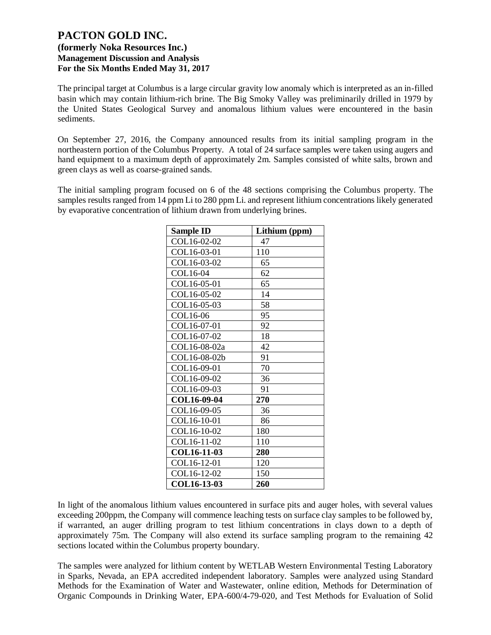The principal target at Columbus is a large circular gravity low anomaly which is interpreted as an in-filled basin which may contain lithium-rich brine. The Big Smoky Valley was preliminarily drilled in 1979 by the United States Geological Survey and anomalous lithium values were encountered in the basin sediments.

On September 27, 2016, the Company announced results from its initial sampling program in the northeastern portion of the Columbus Property. A total of 24 surface samples were taken using augers and hand equipment to a maximum depth of approximately 2m. Samples consisted of white salts, brown and green clays as well as coarse-grained sands.

The initial sampling program focused on 6 of the 48 sections comprising the Columbus property. The samples results ranged from 14 ppm Li to 280 ppm Li. and represent lithium concentrations likely generated by evaporative concentration of lithium drawn from underlying brines.

| <b>Sample ID</b> | Lithium (ppm) |
|------------------|---------------|
| COL16-02-02      | 47            |
| COL16-03-01      | 110           |
| COL16-03-02      | 65            |
| COL16-04         | 62            |
| COL16-05-01      | 65            |
| COL16-05-02      | 14            |
| COL16-05-03      | 58            |
| COL16-06         | 95            |
| COL16-07-01      | 92            |
| COL16-07-02      | 18            |
| COL16-08-02a     | 42            |
| COL16-08-02b     | 91            |
| COL16-09-01      | 70            |
| COL16-09-02      | 36            |
| COL16-09-03      | 91            |
| COL16-09-04      | 270           |
| COL16-09-05      | 36            |
| COL16-10-01      | 86            |
| COL16-10-02      | 180           |
| COL16-11-02      | 110           |
| COL16-11-03      | 280           |
| COL16-12-01      | 120           |
| COL16-12-02      | 150           |
| COL16-13-03      | 260           |

In light of the anomalous lithium values encountered in surface pits and auger holes, with several values exceeding 200ppm, the Company will commence leaching tests on surface clay samples to be followed by, if warranted, an auger drilling program to test lithium concentrations in clays down to a depth of approximately 75m. The Company will also extend its surface sampling program to the remaining 42 sections located within the Columbus property boundary.

The samples were analyzed for lithium content by WETLAB Western Environmental Testing Laboratory in Sparks, Nevada, an EPA accredited independent laboratory. Samples were analyzed using Standard Methods for the Examination of Water and Wastewater, online edition, Methods for Determination of Organic Compounds in Drinking Water, EPA-600/4-79-020, and Test Methods for Evaluation of Solid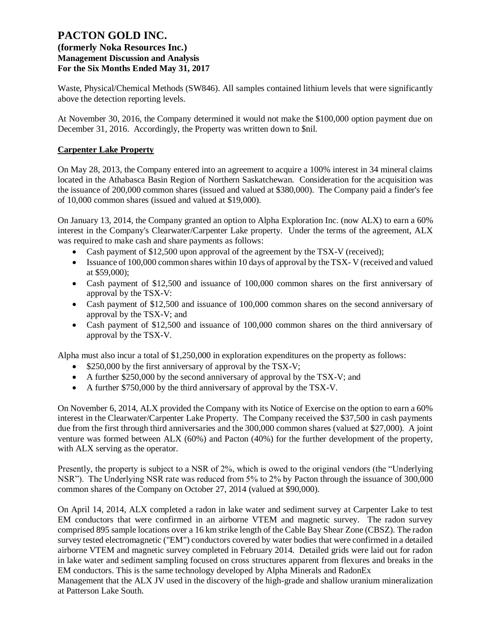## **(formerly Noka Resources Inc.) Management Discussion and Analysis For the Six Months Ended May 31, 2017**

Waste, Physical/Chemical Methods (SW846). All samples contained lithium levels that were significantly above the detection reporting levels.

At November 30, 2016, the Company determined it would not make the \$100,000 option payment due on December 31, 2016. Accordingly, the Property was written down to \$nil.

## **Carpenter Lake Property**

On May 28, 2013, the Company entered into an agreement to acquire a 100% interest in 34 mineral claims located in the Athabasca Basin Region of Northern Saskatchewan. Consideration for the acquisition was the issuance of 200,000 common shares (issued and valued at \$380,000). The Company paid a finder's fee of 10,000 common shares (issued and valued at \$19,000).

On January 13, 2014, the Company granted an option to Alpha Exploration Inc. (now ALX) to earn a 60% interest in the Company's Clearwater/Carpenter Lake property. Under the terms of the agreement, ALX was required to make cash and share payments as follows:

- Cash payment of \$12,500 upon approval of the agreement by the TSX-V (received);
- Issuance of 100,000 common shares within 10 days of approval by the TSX-V (received and valued at \$59,000);
- Cash payment of \$12,500 and issuance of 100,000 common shares on the first anniversary of approval by the TSX-V:
- Cash payment of \$12,500 and issuance of 100,000 common shares on the second anniversary of approval by the TSX-V; and
- Cash payment of \$12,500 and issuance of 100,000 common shares on the third anniversary of approval by the TSX-V.

Alpha must also incur a total of \$1,250,000 in exploration expenditures on the property as follows:

- \$250,000 by the first anniversary of approval by the TSX-V;
- A further \$250,000 by the second anniversary of approval by the TSX-V; and
- A further \$750,000 by the third anniversary of approval by the TSX-V.

On November 6, 2014, ALX provided the Company with its Notice of Exercise on the option to earn a 60% interest in the Clearwater/Carpenter Lake Property. The Company received the \$37,500 in cash payments due from the first through third anniversaries and the 300,000 common shares (valued at \$27,000). A joint venture was formed between ALX (60%) and Pacton (40%) for the further development of the property, with ALX serving as the operator.

Presently, the property is subject to a NSR of 2%, which is owed to the original vendors (the "Underlying NSR"). The Underlying NSR rate was reduced from 5% to 2% by Pacton through the issuance of 300,000 common shares of the Company on October 27, 2014 (valued at \$90,000).

On April 14, 2014, ALX completed a radon in lake water and sediment survey at Carpenter Lake to test EM conductors that were confirmed in an airborne VTEM and magnetic survey. The radon survey comprised 895 sample locations over a 16 km strike length of the Cable Bay Shear Zone (CBSZ). The radon survey tested electromagnetic ("EM") conductors covered by water bodies that were confirmed in a detailed airborne VTEM and magnetic survey completed in February 2014. Detailed grids were laid out for radon in lake water and sediment sampling focused on cross structures apparent from flexures and breaks in the EM conductors. This is the same technology developed by Alpha Minerals and RadonEx

Management that the ALX JV used in the discovery of the high-grade and shallow uranium mineralization at Patterson Lake South.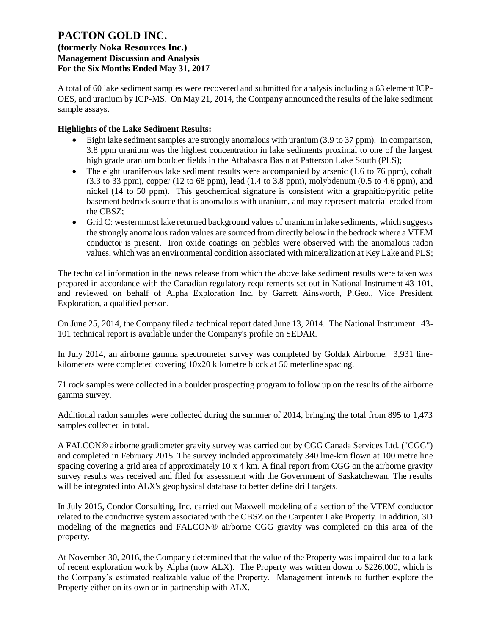**(formerly Noka Resources Inc.) Management Discussion and Analysis For the Six Months Ended May 31, 2017**

A total of 60 lake sediment samples were recovered and submitted for analysis including a 63 element ICP-OES, and uranium by ICP-MS. On May 21, 2014, the Company announced the results of the lake sediment sample assays.

## **Highlights of the Lake Sediment Results:**

- Eight lake sediment samples are strongly anomalous with uranium (3.9 to 37 ppm). In comparison, 3.8 ppm uranium was the highest concentration in lake sediments proximal to one of the largest high grade uranium boulder fields in the Athabasca Basin at Patterson Lake South (PLS);
- The eight uraniferous lake sediment results were accompanied by arsenic  $(1.6 \text{ to } 76 \text{ ppm})$ , cobalt  $(3.3 \text{ to } 33 \text{ ppm})$ , copper  $(12 \text{ to } 68 \text{ ppm})$ , lead  $(1.4 \text{ to } 3.8 \text{ ppm})$ , molybdenum  $(0.5 \text{ to } 4.6 \text{ ppm})$ , and nickel (14 to 50 ppm). This geochemical signature is consistent with a graphitic/pyritic pelite basement bedrock source that is anomalous with uranium, and may represent material eroded from the CBSZ;
- Grid C: westernmost lake returned background values of uranium in lake sediments, which suggests the strongly anomalous radon values are sourced from directly below in the bedrock where a VTEM conductor is present. Iron oxide coatings on pebbles were observed with the anomalous radon values, which was an environmental condition associated with mineralization at Key Lake and PLS;

The technical information in the news release from which the above lake sediment results were taken was prepared in accordance with the Canadian regulatory requirements set out in National Instrument 43-101, and reviewed on behalf of Alpha Exploration Inc. by Garrett Ainsworth, P.Geo., Vice President Exploration, a qualified person.

On June 25, 2014, the Company filed a technical report dated June 13, 2014. The National Instrument 43- 101 technical report is available under the Company's profile on SEDAR.

In July 2014, an airborne gamma spectrometer survey was completed by Goldak Airborne. 3,931 linekilometers were completed covering 10x20 kilometre block at 50 meterline spacing.

71 rock samples were collected in a boulder prospecting program to follow up on the results of the airborne gamma survey.

Additional radon samples were collected during the summer of 2014, bringing the total from 895 to 1,473 samples collected in total.

A FALCON® airborne gradiometer gravity survey was carried out by CGG Canada Services Ltd. ("CGG") and completed in February 2015. The survey included approximately 340 line-km flown at 100 metre line spacing covering a grid area of approximately 10 x 4 km. A final report from CGG on the airborne gravity survey results was received and filed for assessment with the Government of Saskatchewan. The results will be integrated into ALX's geophysical database to better define drill targets.

In July 2015, Condor Consulting, Inc. carried out Maxwell modeling of a section of the VTEM conductor related to the conductive system associated with the CBSZ on the Carpenter Lake Property. In addition, 3D modeling of the magnetics and FALCON® airborne CGG gravity was completed on this area of the property.

At November 30, 2016, the Company determined that the value of the Property was impaired due to a lack of recent exploration work by Alpha (now ALX). The Property was written down to \$226,000, which is the Company's estimated realizable value of the Property. Management intends to further explore the Property either on its own or in partnership with ALX.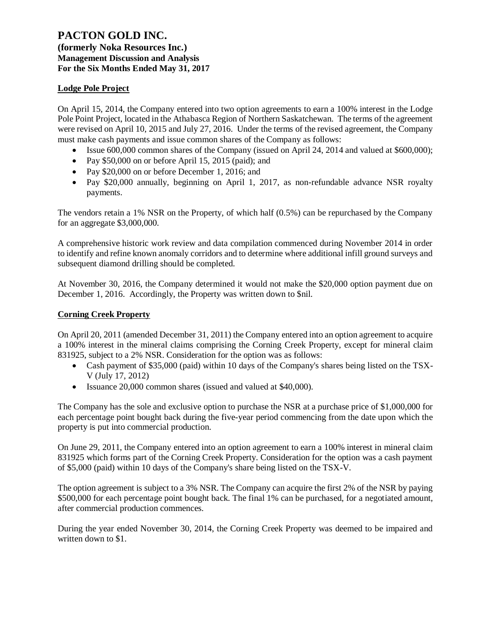**(formerly Noka Resources Inc.) Management Discussion and Analysis For the Six Months Ended May 31, 2017**

### **Lodge Pole Project**

On April 15, 2014, the Company entered into two option agreements to earn a 100% interest in the Lodge Pole Point Project, located in the Athabasca Region of Northern Saskatchewan. The terms of the agreement were revised on April 10, 2015 and July 27, 2016. Under the terms of the revised agreement, the Company must make cash payments and issue common shares of the Company as follows:

- Issue 600,000 common shares of the Company (issued on April 24, 2014 and valued at \$600,000);
- Pay \$50,000 on or before April 15, 2015 (paid); and
- Pay \$20,000 on or before December 1, 2016; and
- Pay \$20,000 annually, beginning on April 1, 2017, as non-refundable advance NSR royalty payments.

The vendors retain a 1% NSR on the Property, of which half (0.5%) can be repurchased by the Company for an aggregate \$3,000,000.

A comprehensive historic work review and data compilation commenced during November 2014 in order to identify and refine known anomaly corridors and to determine where additional infill ground surveys and subsequent diamond drilling should be completed.

At November 30, 2016, the Company determined it would not make the \$20,000 option payment due on December 1, 2016. Accordingly, the Property was written down to \$nil.

### **Corning Creek Property**

On April 20, 2011 (amended December 31, 2011) the Company entered into an option agreement to acquire a 100% interest in the mineral claims comprising the Corning Creek Property, except for mineral claim 831925, subject to a 2% NSR. Consideration for the option was as follows:

- Cash payment of \$35,000 (paid) within 10 days of the Company's shares being listed on the TSX-V (July 17, 2012)
- Issuance 20,000 common shares (issued and valued at \$40,000).

The Company has the sole and exclusive option to purchase the NSR at a purchase price of \$1,000,000 for each percentage point bought back during the five-year period commencing from the date upon which the property is put into commercial production.

On June 29, 2011, the Company entered into an option agreement to earn a 100% interest in mineral claim 831925 which forms part of the Corning Creek Property. Consideration for the option was a cash payment of \$5,000 (paid) within 10 days of the Company's share being listed on the TSX-V.

The option agreement is subject to a 3% NSR. The Company can acquire the first 2% of the NSR by paying \$500,000 for each percentage point bought back. The final 1% can be purchased, for a negotiated amount, after commercial production commences.

During the year ended November 30, 2014, the Corning Creek Property was deemed to be impaired and written down to \$1.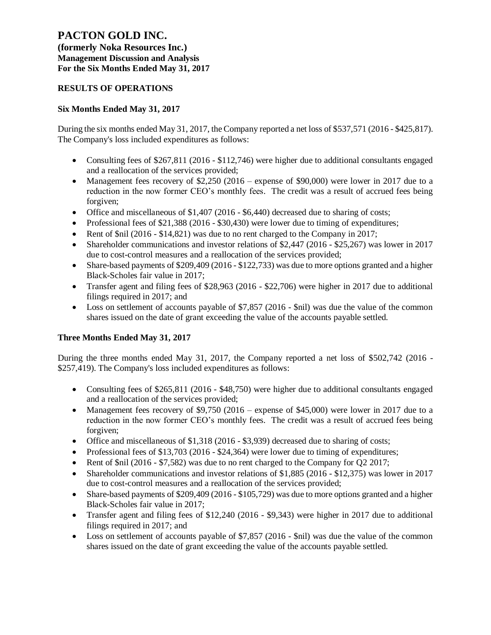**(formerly Noka Resources Inc.) Management Discussion and Analysis For the Six Months Ended May 31, 2017**

## **RESULTS OF OPERATIONS**

### **Six Months Ended May 31, 2017**

During the six months ended May 31, 2017, the Company reported a net loss of \$537,571 (2016 - \$425,817). The Company's loss included expenditures as follows:

- Consulting fees of \$267,811 (2016 \$112,746) were higher due to additional consultants engaged and a reallocation of the services provided;
- Management fees recovery of \$2,250 (2016 expense of \$90,000) were lower in 2017 due to a reduction in the now former CEO's monthly fees. The credit was a result of accrued fees being forgiven;
- Office and miscellaneous of  $$1,407$  (2016  $$6,440$ ) decreased due to sharing of costs;
- Professional fees of \$21,388 (2016 \$30,430) were lower due to timing of expenditures;
- Rent of  $\sinh(2016 \frac{14,821}{10,821})$  was due to no rent charged to the Company in 2017;
- Shareholder communications and investor relations of \$2,447 (2016 \$25,267) was lower in 2017 due to cost-control measures and a reallocation of the services provided;
- Share-based payments of \$209,409 (2016 \$122,733) was due to more options granted and a higher Black-Scholes fair value in 2017;
- Transfer agent and filing fees of \$28,963 (2016 \$22,706) were higher in 2017 due to additional filings required in 2017; and
- Loss on settlement of accounts payable of \$7,857 (2016 \$nil) was due the value of the common shares issued on the date of grant exceeding the value of the accounts payable settled.

## **Three Months Ended May 31, 2017**

During the three months ended May 31, 2017, the Company reported a net loss of \$502,742 (2016 - \$257,419). The Company's loss included expenditures as follows:

- Consulting fees of \$265,811 (2016 \$48,750) were higher due to additional consultants engaged and a reallocation of the services provided;
- Management fees recovery of \$9,750 (2016 expense of \$45,000) were lower in 2017 due to a reduction in the now former CEO's monthly fees. The credit was a result of accrued fees being forgiven;
- Office and miscellaneous of \$1,318 (2016 \$3,939) decreased due to sharing of costs;
- Professional fees of \$13,703 (2016 \$24,364) were lower due to timing of expenditures;
- Rent of \$nil (2016 \$7,582) was due to no rent charged to the Company for O2 2017;
- Shareholder communications and investor relations of \$1,885 (2016 \$12,375) was lower in 2017 due to cost-control measures and a reallocation of the services provided;
- Share-based payments of \$209,409 (2016 \$105,729) was due to more options granted and a higher Black-Scholes fair value in 2017;
- Transfer agent and filing fees of \$12,240 (2016 \$9,343) were higher in 2017 due to additional filings required in 2017; and
- Loss on settlement of accounts payable of \$7,857 (2016 \$nil) was due the value of the common shares issued on the date of grant exceeding the value of the accounts payable settled.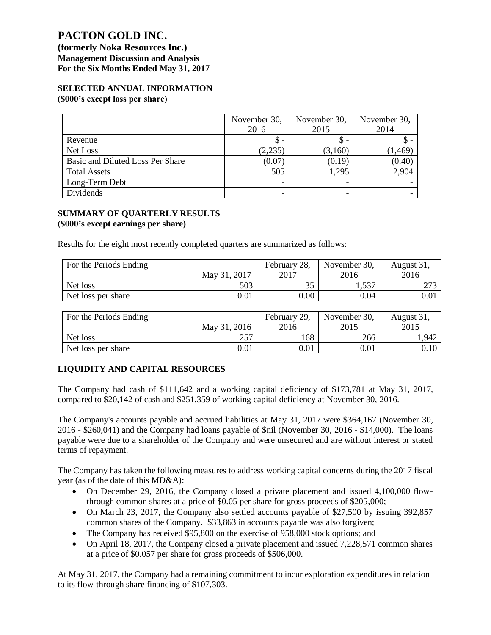**(formerly Noka Resources Inc.) Management Discussion and Analysis For the Six Months Ended May 31, 2017**

#### **SELECTED ANNUAL INFORMATION (\$000's except loss per share)**

|                                  | November 30,<br>2016     | November 30,<br>2015 | November 30,<br>2014 |
|----------------------------------|--------------------------|----------------------|----------------------|
| Revenue                          | \$ -                     | S.                   |                      |
| Net Loss                         | (2,235)                  | (3,160)              | 1,469                |
| Basic and Diluted Loss Per Share | (0.07)                   | (0.19)               | (0.40)               |
| <b>Total Assets</b>              | 505                      | 1,295                | 2,904                |
| Long-Term Debt                   | -                        | -                    |                      |
| Dividends                        | $\overline{\phantom{0}}$ |                      |                      |

#### **SUMMARY OF QUARTERLY RESULTS (\$000's except earnings per share)**

Results for the eight most recently completed quarters are summarized as follows:

| For the Periods Ending |              | February 28, | November 30, | August 31, |
|------------------------|--------------|--------------|--------------|------------|
|                        | May 31, 2017 | 2017         | 2016         | 2016       |
| Net loss               | 503          | ں ر          | 1,537        | 272        |
| Net loss per share     | $\rm 0.01$   | $0.00\,$     | 0.04         | 0.01       |

| For the Periods Ending | February 29, |      | November 30, | August 31, |  |
|------------------------|--------------|------|--------------|------------|--|
|                        | May 31, 2016 | 2016 | 2015         | 2015       |  |
| Net loss               | 257          | 168  | 266          | .,942      |  |
| Net loss per share     | 0.01         | 0.01 | 0.01         | $0.10\,$   |  |

## **LIQUIDITY AND CAPITAL RESOURCES**

The Company had cash of \$111,642 and a working capital deficiency of \$173,781 at May 31, 2017, compared to \$20,142 of cash and \$251,359 of working capital deficiency at November 30, 2016.

The Company's accounts payable and accrued liabilities at May 31, 2017 were \$364,167 (November 30, 2016 - \$260,041) and the Company had loans payable of \$nil (November 30, 2016 - \$14,000). The loans payable were due to a shareholder of the Company and were unsecured and are without interest or stated terms of repayment.

The Company has taken the following measures to address working capital concerns during the 2017 fiscal year (as of the date of this MD&A):

- On December 29, 2016, the Company closed a private placement and issued 4,100,000 flowthrough common shares at a price of \$0.05 per share for gross proceeds of \$205,000;
- On March 23, 2017, the Company also settled accounts payable of \$27,500 by issuing 392,857 common shares of the Company. \$33,863 in accounts payable was also forgiven;
- The Company has received \$95,800 on the exercise of 958,000 stock options; and
- On April 18, 2017, the Company closed a private placement and issued 7,228,571 common shares at a price of \$0.057 per share for gross proceeds of \$506,000.

At May 31, 2017, the Company had a remaining commitment to incur exploration expenditures in relation to its flow-through share financing of \$107,303.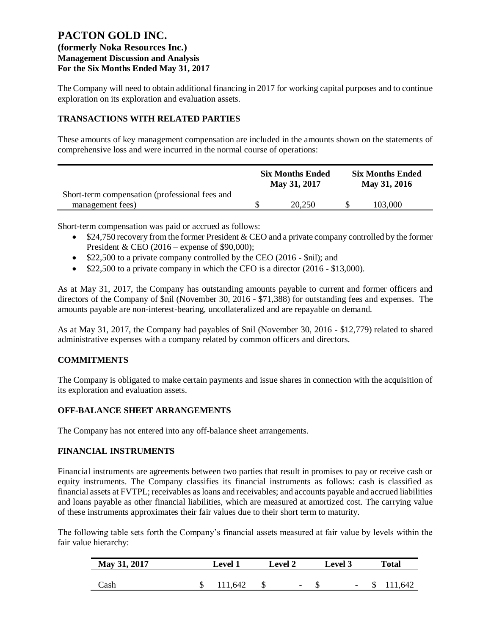**(formerly Noka Resources Inc.) Management Discussion and Analysis For the Six Months Ended May 31, 2017**

The Company will need to obtain additional financing in 2017 for working capital purposes and to continue exploration on its exploration and evaluation assets.

## **TRANSACTIONS WITH RELATED PARTIES**

These amounts of key management compensation are included in the amounts shown on the statements of comprehensive loss and were incurred in the normal course of operations:

|                                                | <b>Six Months Ended</b><br>May 31, 2017 | <b>Six Months Ended</b><br>May 31, 2016 |         |  |
|------------------------------------------------|-----------------------------------------|-----------------------------------------|---------|--|
| Short-term compensation (professional fees and |                                         |                                         |         |  |
| management fees)                               | 20.250                                  |                                         | 103,000 |  |

Short-term compensation was paid or accrued as follows:

- \$24,750 recovery from the former President & CEO and a private company controlled by the former President & CEO (2016 – expense of \$90,000);
- \$22,500 to a private company controlled by the CEO (2016 \$nil); and
- \$22,500 to a private company in which the CFO is a director (2016 \$13,000).

As at May 31, 2017, the Company has outstanding amounts payable to current and former officers and directors of the Company of \$nil (November 30, 2016 - \$71,388) for outstanding fees and expenses. The amounts payable are non-interest-bearing, uncollateralized and are repayable on demand.

As at May 31, 2017, the Company had payables of \$nil (November 30, 2016 - \$12,779) related to shared administrative expenses with a company related by common officers and directors.

## **COMMITMENTS**

The Company is obligated to make certain payments and issue shares in connection with the acquisition of its exploration and evaluation assets.

## **OFF-BALANCE SHEET ARRANGEMENTS**

The Company has not entered into any off-balance sheet arrangements.

#### **FINANCIAL INSTRUMENTS**

Financial instruments are agreements between two parties that result in promises to pay or receive cash or equity instruments. The Company classifies its financial instruments as follows: cash is classified as financial assets at FVTPL; receivables as loans and receivables; and accounts payable and accrued liabilities and loans payable as other financial liabilities, which are measured at amortized cost. The carrying value of these instruments approximates their fair values due to their short term to maturity.

The following table sets forth the Company's financial assets measured at fair value by levels within the fair value hierarchy:

| May 31, 2017 | <b>Level 2</b><br><b>Level 1</b> |  |                          | <b>Level</b> 3 |                          |  | <b>Total</b> |  |  |
|--------------|----------------------------------|--|--------------------------|----------------|--------------------------|--|--------------|--|--|
|              |                                  |  |                          |                |                          |  |              |  |  |
| Cash         | 111,642                          |  | $\overline{\phantom{a}}$ |                | $\overline{\phantom{a}}$ |  | 111,642      |  |  |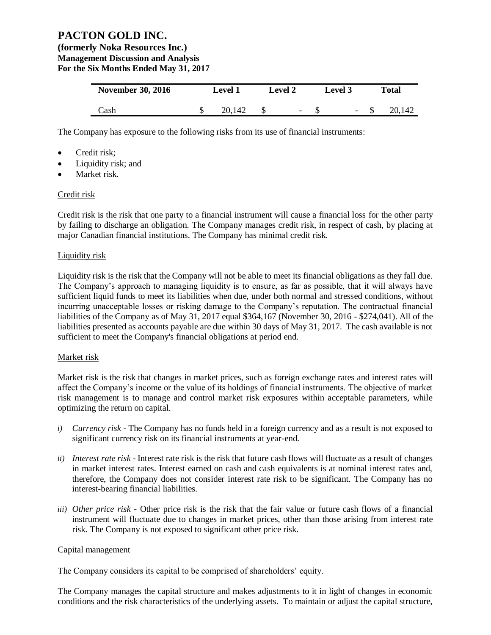**(formerly Noka Resources Inc.) Management Discussion and Analysis For the Six Months Ended May 31, 2017**

| <b>November 30, 2016</b> | Level 1 |        | <b>Level 2</b> |                          | <b>Level</b> 3 |                          | Total |        |
|--------------------------|---------|--------|----------------|--------------------------|----------------|--------------------------|-------|--------|
|                          |         |        |                |                          |                |                          |       |        |
| Cash                     |         | 20.142 |                | $\overline{\phantom{a}}$ |                | $\overline{\phantom{a}}$ |       | 20,142 |

The Company has exposure to the following risks from its use of financial instruments:

- Credit risk;
- Liquidity risk; and
- Market risk.

#### Credit risk

Credit risk is the risk that one party to a financial instrument will cause a financial loss for the other party by failing to discharge an obligation. The Company manages credit risk, in respect of cash, by placing at major Canadian financial institutions. The Company has minimal credit risk.

#### Liquidity risk

Liquidity risk is the risk that the Company will not be able to meet its financial obligations as they fall due. The Company's approach to managing liquidity is to ensure, as far as possible, that it will always have sufficient liquid funds to meet its liabilities when due, under both normal and stressed conditions, without incurring unacceptable losses or risking damage to the Company's reputation. The contractual financial liabilities of the Company as of May 31, 2017 equal \$364,167 (November 30, 2016 - \$274,041). All of the liabilities presented as accounts payable are due within 30 days of May 31, 2017. The cash available is not sufficient to meet the Company's financial obligations at period end.

#### Market risk

Market risk is the risk that changes in market prices, such as foreign exchange rates and interest rates will affect the Company's income or the value of its holdings of financial instruments. The objective of market risk management is to manage and control market risk exposures within acceptable parameters, while optimizing the return on capital.

- *i) Currency risk -* The Company has no funds held in a foreign currency and as a result is not exposed to significant currency risk on its financial instruments at year-end.
- *ii) Interest rate risk -* Interest rate risk is the risk that future cash flows will fluctuate as a result of changes in market interest rates. Interest earned on cash and cash equivalents is at nominal interest rates and, therefore, the Company does not consider interest rate risk to be significant. The Company has no interest-bearing financial liabilities.
- *iii) Other price risk -* Other price risk is the risk that the fair value or future cash flows of a financial instrument will fluctuate due to changes in market prices, other than those arising from interest rate risk. The Company is not exposed to significant other price risk.

#### Capital management

The Company considers its capital to be comprised of shareholders' equity.

The Company manages the capital structure and makes adjustments to it in light of changes in economic conditions and the risk characteristics of the underlying assets. To maintain or adjust the capital structure,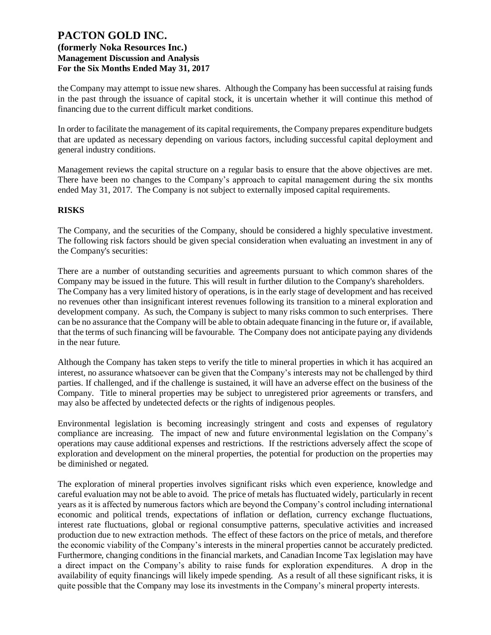the Company may attempt to issue new shares. Although the Company has been successful at raising funds in the past through the issuance of capital stock, it is uncertain whether it will continue this method of financing due to the current difficult market conditions.

In order to facilitate the management of its capital requirements, the Company prepares expenditure budgets that are updated as necessary depending on various factors, including successful capital deployment and general industry conditions.

Management reviews the capital structure on a regular basis to ensure that the above objectives are met. There have been no changes to the Company's approach to capital management during the six months ended May 31, 2017. The Company is not subject to externally imposed capital requirements.

#### **RISKS**

The Company, and the securities of the Company, should be considered a highly speculative investment. The following risk factors should be given special consideration when evaluating an investment in any of the Company's securities:

There are a number of outstanding securities and agreements pursuant to which common shares of the Company may be issued in the future. This will result in further dilution to the Company's shareholders. The Company has a very limited history of operations, is in the early stage of development and has received no revenues other than insignificant interest revenues following its transition to a mineral exploration and development company. As such, the Company is subject to many risks common to such enterprises. There can be no assurance that the Company will be able to obtain adequate financing in the future or, if available, that the terms of such financing will be favourable. The Company does not anticipate paying any dividends in the near future.

Although the Company has taken steps to verify the title to mineral properties in which it has acquired an interest, no assurance whatsoever can be given that the Company's interests may not be challenged by third parties. If challenged, and if the challenge is sustained, it will have an adverse effect on the business of the Company. Title to mineral properties may be subject to unregistered prior agreements or transfers, and may also be affected by undetected defects or the rights of indigenous peoples.

Environmental legislation is becoming increasingly stringent and costs and expenses of regulatory compliance are increasing. The impact of new and future environmental legislation on the Company's operations may cause additional expenses and restrictions. If the restrictions adversely affect the scope of exploration and development on the mineral properties, the potential for production on the properties may be diminished or negated.

The exploration of mineral properties involves significant risks which even experience, knowledge and careful evaluation may not be able to avoid. The price of metals has fluctuated widely, particularly in recent years as it is affected by numerous factors which are beyond the Company's control including international economic and political trends, expectations of inflation or deflation, currency exchange fluctuations, interest rate fluctuations, global or regional consumptive patterns, speculative activities and increased production due to new extraction methods. The effect of these factors on the price of metals, and therefore the economic viability of the Company's interests in the mineral properties cannot be accurately predicted. Furthermore, changing conditions in the financial markets, and Canadian Income Tax legislation may have a direct impact on the Company's ability to raise funds for exploration expenditures. A drop in the availability of equity financings will likely impede spending. As a result of all these significant risks, it is quite possible that the Company may lose its investments in the Company's mineral property interests.